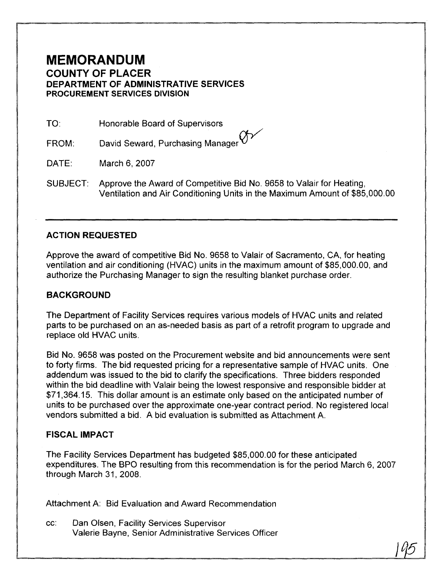## **MEMORANDUM COUNTY OF PLACER DEPARTMENT OF ADMINISTRATIVE SERVICES PROCUREMENT SERVICES DIVISION**

Honorable Board of Supervisors

David Seward, Purchasing Manager  $\bigcirc$ 

March 6, 2007

SUBJECT: Approve the Award of Competitive Bid No. 9658 to Valair for Heating, Ventilation and Air Conditioning Units in the Maximum Amount of \$85,000.00

## **ACTION REQUESTED**

Approve the award of competitive Bid No. 9658 to Valair of Sacramento, CA, for heating ventilation and air conditioning (HVAC) units in the maximum amount of \$85,000.00, and authorize the Purchasing Manager to sign the resulting blanket purchase order.

## **BACKGROUND**

The Department of Facility Services requires various models of HVAC units and related parts to be purchased on an as-needed basis as part of a retrofit program to upgrade and replace old HVAC units.

Bid No. 9658 was posted on the Procurement website and bid announcements were sent to forty firms. The bid requested pricing for a representative sample of HVAC units. One addendum was issued to the bid to clarify the specifications. Three bidders responded within the bid deadline with Valair being the lowest responsive and responsible bidder at \$71,364.15. This dollar amount is an estimate only based on the anticipated number of units to be purchased over the approximate one-year contract period. No registered local vendors submitted a bid. A bid evaluation is submitted as Attachment A. **MEMORANDUM**<br>
COUNTY OF PLACER<br>
DEPARTMENT OF ADMINISTRATIVE SERVICES<br>
DEPARTMENT OF ADMINISTRATIVE SERVICES<br>
RECOLUTED TO FADINISTRATIVE SERVICES<br>
RECOLUTED TO THE CONSULTED IN THE CONSULTED IN THE CONSULTS (NAME)<br>
SUBJEC

## **FISCAL IMPACT**

The Facility Services Department has budgeted \$85,000.00 for these anticipated expenditures. The BPO resulting from this recommendation is for the period March 6, 2007 through March 31, 2008.

Attachment A: Bid Evaluation and Award Recommendation

cc: Dan Olsen, Facility Services Supervisor Valerie Bayne, Senior Administrative Services Officer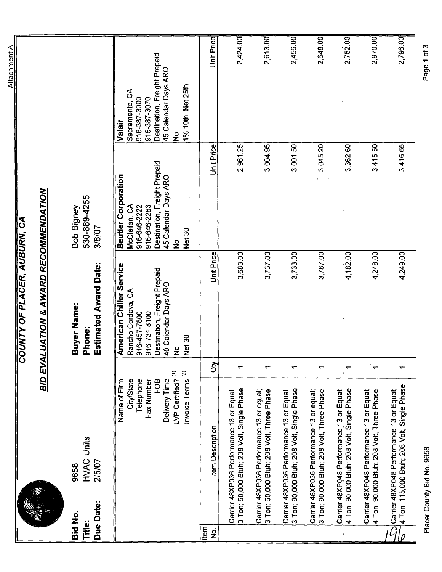|                                              |           |                                                                                                                                                   | <b>BID EVA</b> | <b>LUATION &amp; AWARD RECOMMENDATION</b><br>COUNTY OF PLACER, AUBURN, CA                                                                                    |                                                                                                                                                                |                                                                                                                                                        |
|----------------------------------------------|-----------|---------------------------------------------------------------------------------------------------------------------------------------------------|----------------|--------------------------------------------------------------------------------------------------------------------------------------------------------------|----------------------------------------------------------------------------------------------------------------------------------------------------------------|--------------------------------------------------------------------------------------------------------------------------------------------------------|
| Bid No.<br>Title:                            | Due Date: | <b>HVAC Units</b><br>2/5/07<br>9658                                                                                                               |                | <b>Estimated Award Date:</b><br>Buyer Name:<br>Phone:                                                                                                        | 530-889-4255<br>Bob Bigney<br>3/6/07                                                                                                                           |                                                                                                                                                        |
|                                              |           | LVP Certified? (1)<br>Invoice Terms <sup>(2)</sup><br>Delivery Time<br><b>City/State</b><br>Telephone<br><b>FOB</b><br>Name of Firm<br>Fax Number |                | <b>American Chiller Service</b><br>Destination, Freight Prepaid<br>40 Calendar Days ARO<br>Rancho Cordova, CA<br>916-457-7800<br>916-731-8100<br>Net 30<br>ž | Destination, Freight Prepaid<br><b>Beutler Corporation</b><br>45 Calendar Days ARO<br>McClellan, CA<br>916-646-2263<br>916-646-2222<br>Net 30<br>$\frac{1}{2}$ | Destination, Freight Prepaid<br>45 Calendar Days ARO<br>1% 10th, Net 25th<br>Sacramento, CA<br>916-387-3070<br>916-387-3000<br>Valair<br>$\frac{1}{2}$ |
| tem<br>$\frac{\dot{\mathsf{Q}}}{\mathsf{Z}}$ |           | <b>Item Description</b>                                                                                                                           | đ              | Unit Price                                                                                                                                                   | <b>Unit Price</b>                                                                                                                                              | Unit Price                                                                                                                                             |
|                                              |           | 3 Ton; 60,000 Btuh; 208 Volt, Single Phase<br>Carrier 48XP036 Performance 13 or Equal;                                                            |                | 3,683.00                                                                                                                                                     | 2,961.25                                                                                                                                                       | 2,424.00                                                                                                                                               |
|                                              |           | Carrier 48XP036 Performance 13 or equal;<br>3 Ton; 60,000 Btuh; 208 Volt, Three Phase                                                             |                | 3,737.00                                                                                                                                                     | 3,004.95                                                                                                                                                       | 2,613.00                                                                                                                                               |
|                                              |           | Carrier 48XP036 Performance 13 or Equal;<br>3 Ton; 90,000 Btuh; 208 Volt, Single Phase                                                            |                | 3,733.00                                                                                                                                                     | 3,001.50                                                                                                                                                       | 2,456.00                                                                                                                                               |
|                                              |           | 3 Ton; 90,000 Btuh; 208 Volt, Three Phase<br>Carrier 48XP036 Performance 13 or equal;                                                             |                | 3,787.00                                                                                                                                                     | 3,045.20                                                                                                                                                       | 2,648.00                                                                                                                                               |
|                                              |           | Carrier 48XP048 Performance 13 or Equal;<br>4 Ton; 90,000 Btuh; 208 Volt, Single Phase                                                            |                | 4,182.00                                                                                                                                                     | 3,362.60                                                                                                                                                       | 2,752.00                                                                                                                                               |
|                                              |           | Carrier 48XP048 Performance 13 or Equal;<br>4 Ton; 90,000 Btuh; 208 Volt, Three Phase                                                             |                | 4,248.00                                                                                                                                                     | 3,415.50                                                                                                                                                       | 2,970.00                                                                                                                                               |
|                                              |           | 4 Ton; 115,000 Btuh; 208 Volt, Single Phase<br>Carrier 48XP048 Performance 13 or Equal;                                                           |                | 4,249.00                                                                                                                                                     | 3,416.65                                                                                                                                                       | 2,796.00                                                                                                                                               |
|                                              |           |                                                                                                                                                   |                |                                                                                                                                                              |                                                                                                                                                                |                                                                                                                                                        |

Placer County Bid No. 9658

Page 1 of 3

Attachment A